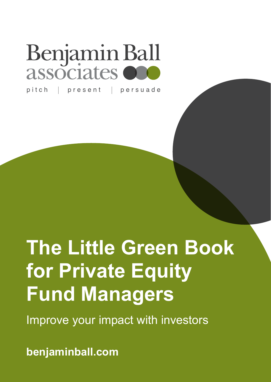# Benjamin Ball associates

pitch | present | persuade

# **The Little Green Book for Private Equity Fund Managers**

Improve your impact with investors

**benjaminball.com**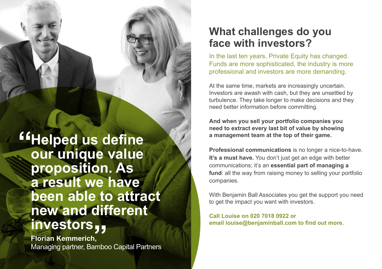**Example 4 Find 15 Ferry Concretently our unique value proposition. As a result we have been able to attract new and different investors**

**Florian Kemmerich, ITTV CSLOTS <sub>J J</sub><br>Florian Kemmerich,<br>Managing partner, Bamboo Capital Partners** 

### **What challenges do you face with investors?**

In the last ten years, Private Equity has changed. Funds are more sophisticated, the industry is more professional and investors are more demanding.

At the same time, markets are increasingly uncertain. Investors are awash with cash, but they are unsettled by turbulence. They take longer to make decisions and they need better information before committing.

**And when you sell your portfolio companies you need to extract every last bit of value by showing a management team at the top of their game.**

**Professional communications** is no longer a nice-to-have. **It's a must have.** You don't just get an edge with better communications; it's an **essential part of managing a**  fund: all the way from raising money to selling your portfolio companies.

With Benjamin Ball Associates you get the support you need to get the impact you want with investors.

**Call Louise on 020 7018 0922 or email louise@benjaminball.com to find out more.**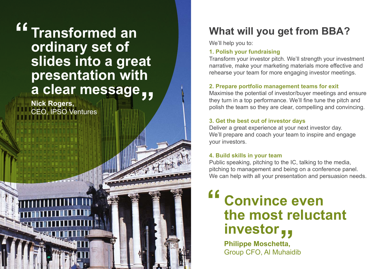## **Transformed an ordinary set of slides into a great presentation with a clear message " "**

**Nick Rogers,**  CEO, IPSO Ventures

## **What will you get from BBA?**

We'll help you to:

### **1. Polish your fundraising**

Transform your investor pitch. We'll strength your investment narrative, make your marketing materials more effective and rehearse your team for more engaging investor meetings.

### **2. Prepare portfolio management teams for exit**

Maximise the potential of investor/buyer meetings and ensure they turn in a top performance. We'll fine tune the pitch and polish the team so they are clear, compelling and convincing.

#### **3. Get the best out of investor days**

Deliver a great experience at your next investor day. We'll prepare and coach your team to inspire and engage your investors.

### **4. Build skills in your team**

Public speaking, pitching to the IC, talking to the media, pitching to management and being on a conference panel. We can help with all your presentation and persuasion needs.

## **Convince even the most reluctant investor "**

**Philippe Moschetta,** Group CFO, Al Muhaidib **"**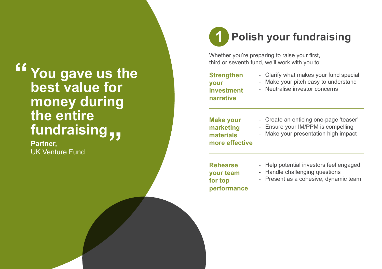## **You gave us the best value for money during the entire fundraising " "**

**Partner,** UK Venture Fund

### **Polish your fundraising 1**

Whether you're preparing to raise your first, third or seventh fund, we'll work with you to:

**Strengthen your investment narrative**

- Clarify what makes your fund special
- Make your pitch easy to understand
- Neutralise investor concerns

**Make your marketing materials more effective** 

- Create an enticing one-page 'teaser'
- Ensure your IM/PPM is compelling
- Make your presentation high impact

**Rehearse your team for top performance**

- Help potential investors feel engaged - Handle challenging questions
- 
- Present as a cohesive, dynamic team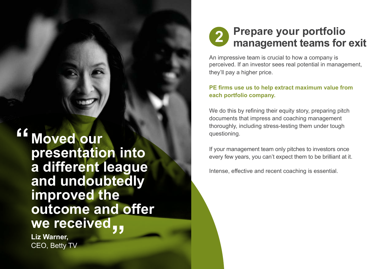### **Prepare your portfolio management teams for exit 2**

An impressive team is crucial to how a company is perceived. If an investor sees real potential in management, they'll pay a higher price.

#### **PE firms use us to help extract maximum value from each portfolio company.**

We do this by refining their equity story, preparing pitch documents that impress and coaching management thoroughly, including stress-testing them under tough questioning.

If your management team only pitches to investors once every few years, you can't expect them to be brilliant at it.

Intense, effective and recent coaching is essential.

**Moved our presentation into a different league and undoubtedly improved the outcome and offer we received " "**

**Liz Warner,** CEO, Betty TV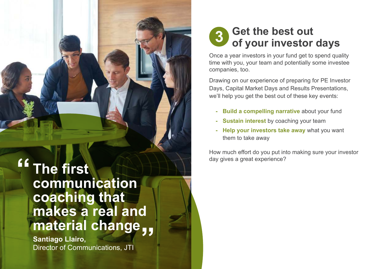**The first communication coaching that makes a real and material change " "**

**Santiago Llairo,** Director of Communications, JTI

### **Get the best out of your investor days 3**

Once a year investors in your fund get to spend quality time with you, your team and potentially some investee companies, too.

Drawing on our experience of preparing for PE Investor Days, Capital Market Days and Results Presentations, we'll help you get the best out of these key events:

- **Build a compelling narrative** about your fund
- **Sustain interest** by coaching your team
- **Help your investors take away** what you want them to take away

How much effort do you put into making sure your investor day gives a great experience?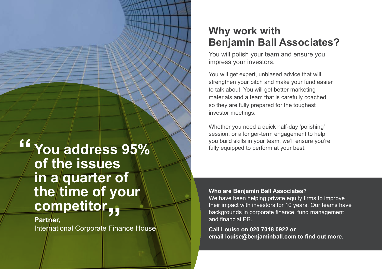## **You address 95% of the issues in a quarter of**  the time of your **competitor "**

**Partner, COTTIPELILOM**<br>Partner,<br>International Corporate Finance House

### **Why work with Benjamin Ball Associates?**

You will polish your team and ensure you impress your investors.

You will get expert, unbiased advice that will strengthen your pitch and make your fund easier to talk about. You will get better marketing materials and a team that is carefully coached so they are fully prepared for the toughest investor meetings.

Whether you need a quick half-day 'polishing' session, or a longer-term engagement to help you build skills in your team, we'll ensure you're fully equipped to perform at your best.

#### **Who are Benjamin Ball Associates?**

We have been helping private equity firms to improve their impact with investors for 10 years. Our teams have backgrounds in corporate finance, fund management and financial PR.

**Call Louise on 020 7018 0922 or email louise@benjaminball.com to find out more.**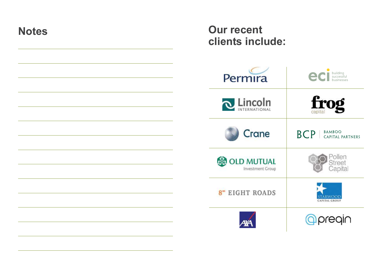| <b>Notes</b> | <b>Our recent</b><br>clients include:              |                                                 |
|--------------|----------------------------------------------------|-------------------------------------------------|
|              | Permira                                            | CI building<br>businesses                       |
|              | <b>Q</b> Lincoln                                   | frog                                            |
|              | Crane                                              | BAMBOO<br><b>BCP</b><br><b>CAPITAL PARTNERS</b> |
|              | <b>&amp; OLD MUTUAL</b><br><b>Investment Group</b> | Pollen<br>Street<br>Capital                     |
|              | 8 <sup>®</sup> EIGHT ROADS                         | STARWOOD<br><b>CAPITAL GROUP</b>                |
|              | ĄУА                                                | <b>Opregin</b>                                  |